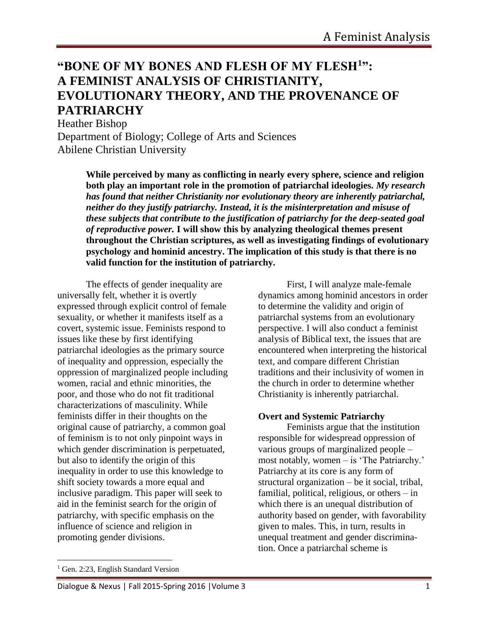# **"BONE OF MY BONES AND FLESH OF MY FLESH<sup>1</sup> ": A FEMINIST ANALYSIS OF CHRISTIANITY, EVOLUTIONARY THEORY, AND THE PROVENANCE OF PATRIARCHY**

Heather Bishop Department of Biology; College of Arts and Sciences Abilene Christian University

> **While perceived by many as conflicting in nearly every sphere, science and religion both play an important role in the promotion of patriarchal ideologies.** *My research has found that neither Christianity nor evolutionary theory are inherently patriarchal, neither do they justify patriarchy. Instead, it is the misinterpretation and misuse of these subjects that contribute to the justification of patriarchy for the deep-seated goal of reproductive power.* **I will show this by analyzing theological themes present throughout the Christian scriptures, as well as investigating findings of evolutionary psychology and hominid ancestry. The implication of this study is that there is no valid function for the institution of patriarchy.**

The effects of gender inequality are universally felt, whether it is overtly expressed through explicit control of female sexuality, or whether it manifests itself as a covert, systemic issue. Feminists respond to issues like these by first identifying patriarchal ideologies as the primary source of inequality and oppression, especially the oppression of marginalized people including women, racial and ethnic minorities, the poor, and those who do not fit traditional characterizations of masculinity. While feminists differ in their thoughts on the original cause of patriarchy, a common goal of feminism is to not only pinpoint ways in which gender discrimination is perpetuated, but also to identify the origin of this inequality in order to use this knowledge to shift society towards a more equal and inclusive paradigm. This paper will seek to aid in the feminist search for the origin of patriarchy, with specific emphasis on the influence of science and religion in promoting gender divisions.

First, I will analyze male-female dynamics among hominid ancestors in order to determine the validity and origin of patriarchal systems from an evolutionary perspective. I will also conduct a feminist analysis of Biblical text, the issues that are encountered when interpreting the historical text, and compare different Christian traditions and their inclusivity of women in the church in order to determine whether Christianity is inherently patriarchal.

### **Overt and Systemic Patriarchy**

Feminists argue that the institution responsible for widespread oppression of various groups of marginalized people – most notably, women – is 'The Patriarchy.' Patriarchy at its core is any form of structural organization – be it social, tribal, familial, political, religious, or others – in which there is an unequal distribution of authority based on gender, with favorability given to males. This, in turn, results in unequal treatment and gender discrimination. Once a patriarchal scheme is

<sup>&</sup>lt;sup>1</sup> Gen. 2:23, English Standard Version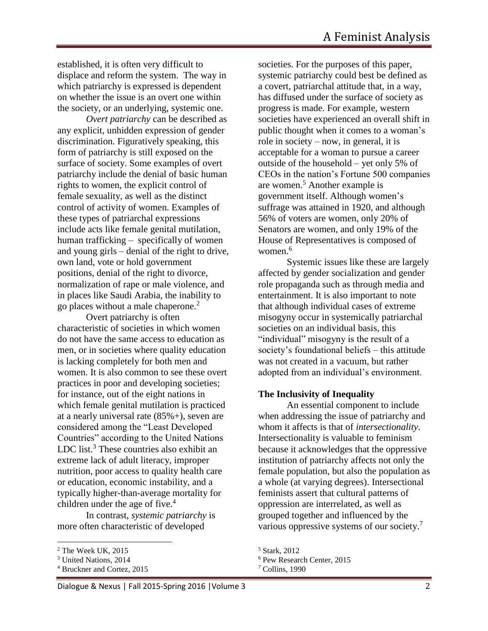established, it is often very difficult to displace and reform the system. The way in which patriarchy is expressed is dependent on whether the issue is an overt one within the society, or an underlying, systemic one.

*Overt patriarchy* can be described as any explicit, unhidden expression of gender discrimination. Figuratively speaking, this form of patriarchy is still exposed on the surface of society. Some examples of overt patriarchy include the denial of basic human rights to women, the explicit control of female sexuality, as well as the distinct control of activity of women. Examples of these types of patriarchal expressions include acts like female genital mutilation, human trafficking – specifically of women and young girls – denial of the right to drive, own land, vote or hold government positions, denial of the right to divorce, normalization of rape or male violence, and in places like Saudi Arabia, the inability to go places without a male chaperone.<sup>2</sup>

Overt patriarchy is often characteristic of societies in which women do not have the same access to education as men, or in societies where quality education is lacking completely for both men and women. It is also common to see these overt practices in poor and developing societies; for instance, out of the eight nations in which female genital mutilation is practiced at a nearly universal rate (85%+), seven are considered among the "Least Developed Countries" according to the United Nations LDC list. $3$  These countries also exhibit an extreme lack of adult literacy, improper nutrition, poor access to quality health care or education, economic instability, and a typically higher-than-average mortality for children under the age of five. 4

In contrast, *systemic patriarchy* is more often characteristic of developed

 $\overline{\phantom{a}}$ 

societies. For the purposes of this paper, systemic patriarchy could best be defined as a covert, patriarchal attitude that, in a way, has diffused under the surface of society as progress is made. For example, western societies have experienced an overall shift in public thought when it comes to a woman's role in society – now, in general, it is acceptable for a woman to pursue a career outside of the household – yet only 5% of CEOs in the nation's Fortune 500 companies are women.<sup>5</sup> Another example is government itself. Although women's suffrage was attained in 1920, and although 56% of voters are women, only 20% of Senators are women, and only 19% of the House of Representatives is composed of women.<sup>6</sup>

Systemic issues like these are largely affected by gender socialization and gender role propaganda such as through media and entertainment. It is also important to note that although individual cases of extreme misogyny occur in systemically patriarchal societies on an individual basis, this "individual" misogyny is the result of a society's foundational beliefs – this attitude was not created in a vacuum, but rather adopted from an individual's environment.

#### **The Inclusivity of Inequality**

An essential component to include when addressing the issue of patriarchy and whom it affects is that of *intersectionality*. Intersectionality is valuable to feminism because it acknowledges that the oppressive institution of patriarchy affects not only the female population, but also the population as a whole (at varying degrees). Intersectional feminists assert that cultural patterns of oppression are interrelated, as well as grouped together and influenced by the various oppressive systems of our society.<sup>7</sup>

<sup>2</sup> The Week UK, 2015

<sup>3</sup> United Nations, 2014

<sup>4</sup> Bruckner and Cortez, 2015

<sup>5</sup> Stark, 2012

<sup>6</sup> Pew Research Center, 2015

<sup>7</sup> Collins, 1990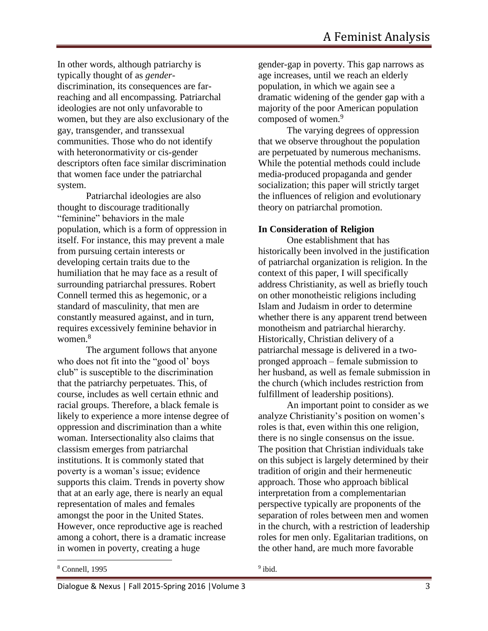In other words, although patriarchy is typically thought of as *gender*discrimination, its consequences are farreaching and all encompassing. Patriarchal ideologies are not only unfavorable to women, but they are also exclusionary of the gay, transgender, and transsexual communities. Those who do not identify with heteronormativity or cis-gender descriptors often face similar discrimination that women face under the patriarchal system.

Patriarchal ideologies are also thought to discourage traditionally "feminine" behaviors in the male population, which is a form of oppression in itself. For instance, this may prevent a male from pursuing certain interests or developing certain traits due to the humiliation that he may face as a result of surrounding patriarchal pressures. Robert Connell termed this as hegemonic, or a standard of masculinity, that men are constantly measured against, and in turn, requires excessively feminine behavior in women.<sup>8</sup>

The argument follows that anyone who does not fit into the "good ol' boys club" is susceptible to the discrimination that the patriarchy perpetuates. This, of course, includes as well certain ethnic and racial groups. Therefore, a black female is likely to experience a more intense degree of oppression and discrimination than a white woman. Intersectionality also claims that classism emerges from patriarchal institutions. It is commonly stated that poverty is a woman's issue; evidence supports this claim. Trends in poverty show that at an early age, there is nearly an equal representation of males and females amongst the poor in the United States. However, once reproductive age is reached among a cohort, there is a dramatic increase in women in poverty, creating a huge

gender-gap in poverty. This gap narrows as age increases, until we reach an elderly population, in which we again see a dramatic widening of the gender gap with a majority of the poor American population composed of women.<sup>9</sup>

The varying degrees of oppression that we observe throughout the population are perpetuated by numerous mechanisms. While the potential methods could include media-produced propaganda and gender socialization; this paper will strictly target the influences of religion and evolutionary theory on patriarchal promotion.

### **In Consideration of Religion**

One establishment that has historically been involved in the justification of patriarchal organization is religion. In the context of this paper, I will specifically address Christianity, as well as briefly touch on other monotheistic religions including Islam and Judaism in order to determine whether there is any apparent trend between monotheism and patriarchal hierarchy. Historically, Christian delivery of a patriarchal message is delivered in a twopronged approach – female submission to her husband, as well as female submission in the church (which includes restriction from fulfillment of leadership positions).

An important point to consider as we analyze Christianity's position on women's roles is that, even within this one religion, there is no single consensus on the issue. The position that Christian individuals take on this subject is largely determined by their tradition of origin and their hermeneutic approach. Those who approach biblical interpretation from a complementarian perspective typically are proponents of the separation of roles between men and women in the church, with a restriction of leadership roles for men only. Egalitarian traditions, on the other hand, are much more favorable

<sup>8</sup> Connell, 1995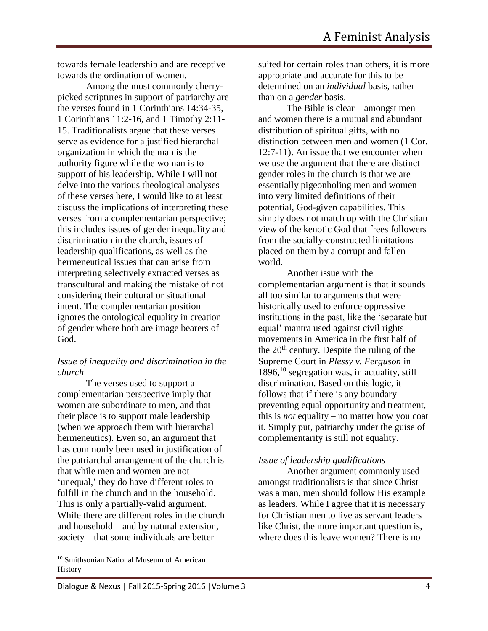towards female leadership and are receptive towards the ordination of women.

Among the most commonly cherrypicked scriptures in support of patriarchy are the verses found in 1 Corinthians 14:34-35, 1 Corinthians 11:2-16, and 1 Timothy 2:11- 15. Traditionalists argue that these verses serve as evidence for a justified hierarchal organization in which the man is the authority figure while the woman is to support of his leadership. While I will not delve into the various theological analyses of these verses here, I would like to at least discuss the implications of interpreting these verses from a complementarian perspective; this includes issues of gender inequality and discrimination in the church, issues of leadership qualifications, as well as the hermeneutical issues that can arise from interpreting selectively extracted verses as transcultural and making the mistake of not considering their cultural or situational intent. The complementarian position ignores the ontological equality in creation of gender where both are image bearers of God.

### *Issue of inequality and discrimination in the church*

The verses used to support a complementarian perspective imply that women are subordinate to men, and that their place is to support male leadership (when we approach them with hierarchal hermeneutics). Even so, an argument that has commonly been used in justification of the patriarchal arrangement of the church is that while men and women are not 'unequal,' they do have different roles to fulfill in the church and in the household. This is only a partially-valid argument. While there are different roles in the church and household – and by natural extension, society – that some individuals are better

 $\overline{a}$ 

suited for certain roles than others, it is more appropriate and accurate for this to be determined on an *individual* basis, rather than on a *gender* basis.

The Bible is clear – amongst men and women there is a mutual and abundant distribution of spiritual gifts, with no distinction between men and women (1 Cor. 12:7-11). An issue that we encounter when we use the argument that there are distinct gender roles in the church is that we are essentially pigeonholing men and women into very limited definitions of their potential, God-given capabilities. This simply does not match up with the Christian view of the kenotic God that frees followers from the socially-constructed limitations placed on them by a corrupt and fallen world.

Another issue with the complementarian argument is that it sounds all too similar to arguments that were historically used to enforce oppressive institutions in the past, like the 'separate but equal' mantra used against civil rights movements in America in the first half of the  $20<sup>th</sup>$  century. Despite the ruling of the Supreme Court in *Plessy v. Ferguson* in 1896, <sup>10</sup> segregation was, in actuality, still discrimination. Based on this logic, it follows that if there is any boundary preventing equal opportunity and treatment, this is *not* equality – no matter how you coat it. Simply put, patriarchy under the guise of complementarity is still not equality.

### *Issue of leadership qualifications*

Another argument commonly used amongst traditionalists is that since Christ was a man, men should follow His example as leaders. While I agree that it is necessary for Christian men to live as servant leaders like Christ, the more important question is, where does this leave women? There is no

<sup>10</sup> Smithsonian National Museum of American **History**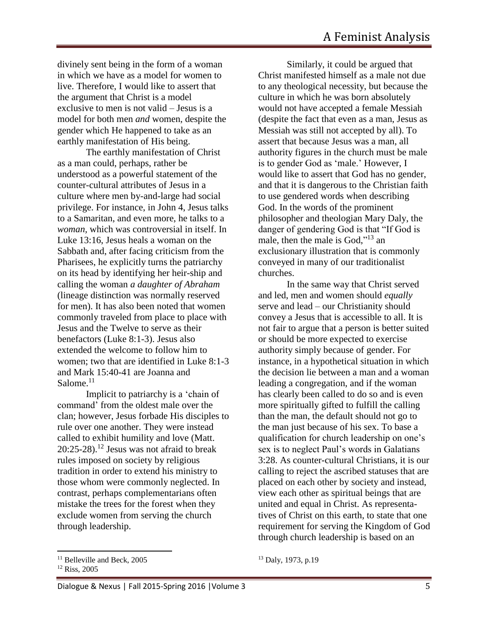divinely sent being in the form of a woman in which we have as a model for women to live. Therefore, I would like to assert that the argument that Christ is a model exclusive to men is not valid – Jesus is a model for both men *and* women, despite the gender which He happened to take as an earthly manifestation of His being.

The earthly manifestation of Christ as a man could, perhaps, rather be understood as a powerful statement of the counter-cultural attributes of Jesus in a culture where men by-and-large had social privilege. For instance, in John 4, Jesus talks to a Samaritan, and even more, he talks to a *woman,* which was controversial in itself. In Luke 13:16, Jesus heals a woman on the Sabbath and, after facing criticism from the Pharisees, he explicitly turns the patriarchy on its head by identifying her heir-ship and calling the woman *a daughter of Abraham*  (lineage distinction was normally reserved for men). It has also been noted that women commonly traveled from place to place with Jesus and the Twelve to serve as their benefactors (Luke 8:1-3). Jesus also extended the welcome to follow him to women; two that are identified in Luke 8:1-3 and Mark 15:40-41 are Joanna and Salome.<sup>11</sup>

Implicit to patriarchy is a 'chain of command' from the oldest male over the clan; however, Jesus forbade His disciples to rule over one another. They were instead called to exhibit humility and love (Matt.  $20:25-28$ .<sup>12</sup> Jesus was not afraid to break rules imposed on society by religious tradition in order to extend his ministry to those whom were commonly neglected. In contrast, perhaps complementarians often mistake the trees for the forest when they exclude women from serving the church through leadership.

 $\overline{a}$ 

Similarly, it could be argued that Christ manifested himself as a male not due to any theological necessity, but because the culture in which he was born absolutely would not have accepted a female Messiah (despite the fact that even as a man, Jesus as Messiah was still not accepted by all). To assert that because Jesus was a man, all authority figures in the church must be male is to gender God as 'male.' However, I would like to assert that God has no gender, and that it is dangerous to the Christian faith to use gendered words when describing God. In the words of the prominent philosopher and theologian Mary Daly, the danger of gendering God is that "If God is male, then the male is God,"<sup>13</sup> an exclusionary illustration that is commonly conveyed in many of our traditionalist churches.

In the same way that Christ served and led, men and women should *equally* serve and lead – our Christianity should convey a Jesus that is accessible to all. It is not fair to argue that a person is better suited or should be more expected to exercise authority simply because of gender. For instance, in a hypothetical situation in which the decision lie between a man and a woman leading a congregation, and if the woman has clearly been called to do so and is even more spiritually gifted to fulfill the calling than the man, the default should not go to the man just because of his sex. To base a qualification for church leadership on one's sex is to neglect Paul's words in Galatians 3:28. As counter-cultural Christians, it is our calling to reject the ascribed statuses that are placed on each other by society and instead, view each other as spiritual beings that are united and equal in Christ. As representatives of Christ on this earth, to state that one requirement for serving the Kingdom of God through church leadership is based on an

<sup>&</sup>lt;sup>11</sup> Belleville and Beck, 2005

<sup>12</sup> Riss, 2005

<sup>13</sup> Daly, 1973, p.19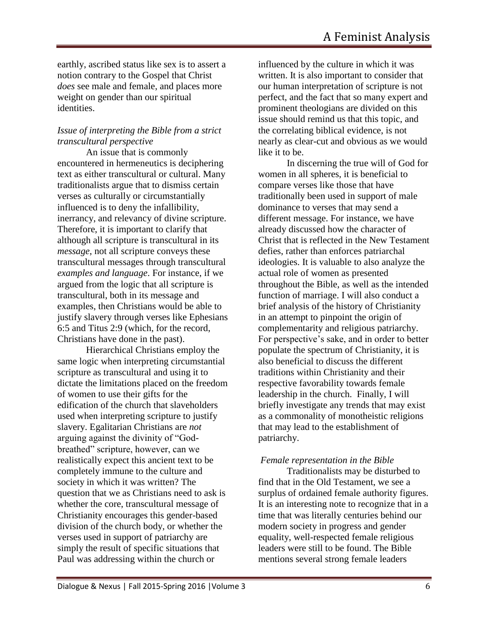earthly, ascribed status like sex is to assert a notion contrary to the Gospel that Christ *does* see male and female, and places more weight on gender than our spiritual identities.

## *Issue of interpreting the Bible from a strict transcultural perspective*

An issue that is commonly encountered in hermeneutics is deciphering text as either transcultural or cultural. Many traditionalists argue that to dismiss certain verses as culturally or circumstantially influenced is to deny the infallibility, inerrancy, and relevancy of divine scripture. Therefore, it is important to clarify that although all scripture is transcultural in its *message*, not all scripture conveys these transcultural messages through transcultural *examples and language*. For instance, if we argued from the logic that all scripture is transcultural, both in its message and examples, then Christians would be able to justify slavery through verses like Ephesians 6:5 and Titus 2:9 (which, for the record, Christians have done in the past).

Hierarchical Christians employ the same logic when interpreting circumstantial scripture as transcultural and using it to dictate the limitations placed on the freedom of women to use their gifts for the edification of the church that slaveholders used when interpreting scripture to justify slavery. Egalitarian Christians are *not* arguing against the divinity of "Godbreathed" scripture, however, can we realistically expect this ancient text to be completely immune to the culture and society in which it was written? The question that we as Christians need to ask is whether the core, transcultural message of Christianity encourages this gender-based division of the church body, or whether the verses used in support of patriarchy are simply the result of specific situations that Paul was addressing within the church or

influenced by the culture in which it was written. It is also important to consider that our human interpretation of scripture is not perfect, and the fact that so many expert and prominent theologians are divided on this issue should remind us that this topic, and the correlating biblical evidence, is not nearly as clear-cut and obvious as we would like it to be.

In discerning the true will of God for women in all spheres, it is beneficial to compare verses like those that have traditionally been used in support of male dominance to verses that may send a different message. For instance, we have already discussed how the character of Christ that is reflected in the New Testament defies, rather than enforces patriarchal ideologies. It is valuable to also analyze the actual role of women as presented throughout the Bible, as well as the intended function of marriage. I will also conduct a brief analysis of the history of Christianity in an attempt to pinpoint the origin of complementarity and religious patriarchy. For perspective's sake, and in order to better populate the spectrum of Christianity, it is also beneficial to discuss the different traditions within Christianity and their respective favorability towards female leadership in the church. Finally, I will briefly investigate any trends that may exist as a commonality of monotheistic religions that may lead to the establishment of patriarchy.

## *Female representation in the Bible*

Traditionalists may be disturbed to find that in the Old Testament, we see a surplus of ordained female authority figures. It is an interesting note to recognize that in a time that was literally centuries behind our modern society in progress and gender equality, well-respected female religious leaders were still to be found. The Bible mentions several strong female leaders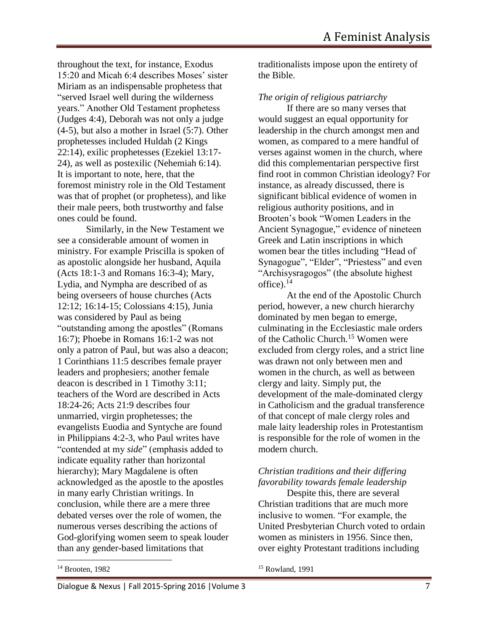throughout the text, for instance, Exodus 15:20 and Micah 6:4 describes Moses' sister Miriam as an indispensable prophetess that "served Israel well during the wilderness years." Another Old Testament prophetess (Judges 4:4), Deborah was not only a judge (4-5), but also a mother in Israel (5:7). Other prophetesses included Huldah (2 Kings 22:14), exilic prophetesses (Ezekiel 13:17- 24), as well as postexilic (Nehemiah 6:14). It is important to note, here, that the foremost ministry role in the Old Testament was that of prophet (or prophetess), and like their male peers, both trustworthy and false ones could be found.

Similarly, in the New Testament we see a considerable amount of women in ministry. For example Priscilla is spoken of as apostolic alongside her husband, Aquila (Acts 18:1-3 and Romans 16:3-4); Mary, Lydia, and Nympha are described of as being overseers of house churches (Acts 12:12; 16:14-15; Colossians 4:15), Junia was considered by Paul as being "outstanding among the apostles" (Romans 16:7); Phoebe in Romans 16:1-2 was not only a patron of Paul, but was also a deacon; 1 Corinthians 11:5 describes female prayer leaders and prophesiers; another female deacon is described in 1 Timothy 3:11; teachers of the Word are described in Acts 18:24-26; Acts 21:9 describes four unmarried, virgin prophetesses; the evangelists Euodia and Syntyche are found in Philippians 4:2-3, who Paul writes have "contended at my *side*" (emphasis added to indicate equality rather than horizontal hierarchy); Mary Magdalene is often acknowledged as the apostle to the apostles in many early Christian writings. In conclusion, while there are a mere three debated verses over the role of women, the numerous verses describing the actions of God-glorifying women seem to speak louder than any gender-based limitations that

traditionalists impose upon the entirety of the Bible.

*The origin of religious patriarchy* 

If there are so many verses that would suggest an equal opportunity for leadership in the church amongst men and women, as compared to a mere handful of verses against women in the church, where did this complementarian perspective first find root in common Christian ideology? For instance, as already discussed, there is significant biblical evidence of women in religious authority positions, and in Brooten's book "Women Leaders in the Ancient Synagogue," evidence of nineteen Greek and Latin inscriptions in which women bear the titles including "Head of Synagogue", "Elder", "Priestess" and even "Archisysragogos" (the absolute highest office).<sup>14</sup>

At the end of the Apostolic Church period, however, a new church hierarchy dominated by men began to emerge, culminating in the Ecclesiastic male orders of the Catholic Church.<sup>15</sup> Women were excluded from clergy roles, and a strict line was drawn not only between men and women in the church, as well as between clergy and laity. Simply put, the development of the male-dominated clergy in Catholicism and the gradual transference of that concept of male clergy roles and male laity leadership roles in Protestantism is responsible for the role of women in the modern church.

### *Christian traditions and their differing favorability towards female leadership*

Despite this, there are several Christian traditions that are much more inclusive to women. "For example, the United Presbyterian Church voted to ordain women as ministers in 1956. Since then, over eighty Protestant traditions including

<sup>14</sup> Brooten, 1982

 $\overline{\phantom{a}}$ 

<sup>15</sup> Rowland, 1991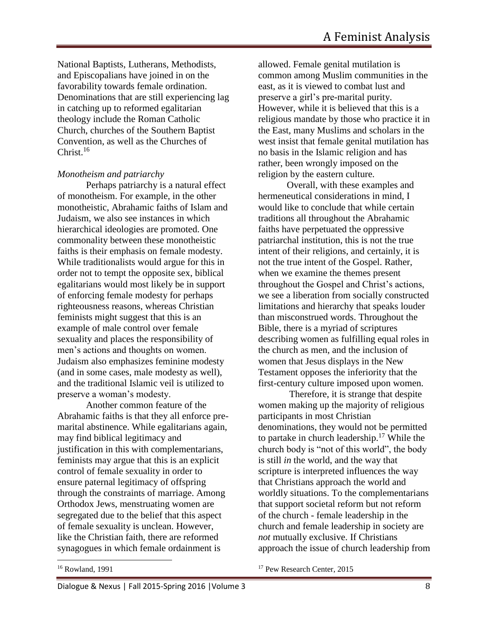National Baptists, Lutherans, Methodists, and Episcopalians have joined in on the favorability towards female ordination. Denominations that are still experiencing lag in catching up to reformed egalitarian theology include the Roman Catholic Church, churches of the Southern Baptist Convention, as well as the Churches of Christ. $16$ 

#### *Monotheism and patriarchy*

Perhaps patriarchy is a natural effect of monotheism. For example, in the other monotheistic, Abrahamic faiths of Islam and Judaism, we also see instances in which hierarchical ideologies are promoted. One commonality between these monotheistic faiths is their emphasis on female modesty. While traditionalists would argue for this in order not to tempt the opposite sex, biblical egalitarians would most likely be in support of enforcing female modesty for perhaps righteousness reasons, whereas Christian feminists might suggest that this is an example of male control over female sexuality and places the responsibility of men's actions and thoughts on women. Judaism also emphasizes feminine modesty (and in some cases, male modesty as well), and the traditional Islamic veil is utilized to preserve a woman's modesty.

Another common feature of the Abrahamic faiths is that they all enforce premarital abstinence. While egalitarians again, may find biblical legitimacy and justification in this with complementarians, feminists may argue that this is an explicit control of female sexuality in order to ensure paternal legitimacy of offspring through the constraints of marriage. Among Orthodox Jews, menstruating women are segregated due to the belief that this aspect of female sexuality is unclean. However, like the Christian faith, there are reformed synagogues in which female ordainment is

allowed. Female genital mutilation is common among Muslim communities in the east, as it is viewed to combat lust and preserve a girl's pre-marital purity. However, while it is believed that this is a religious mandate by those who practice it in the East, many Muslims and scholars in the west insist that female genital mutilation has no basis in the Islamic religion and has rather, been wrongly imposed on the religion by the eastern culture.

Overall, with these examples and hermeneutical considerations in mind, I would like to conclude that while certain traditions all throughout the Abrahamic faiths have perpetuated the oppressive patriarchal institution, this is not the true intent of their religions, and certainly, it is not the true intent of the Gospel. Rather, when we examine the themes present throughout the Gospel and Christ's actions, we see a liberation from socially constructed limitations and hierarchy that speaks louder than misconstrued words. Throughout the Bible, there is a myriad of scriptures describing women as fulfilling equal roles in the church as men, and the inclusion of women that Jesus displays in the New Testament opposes the inferiority that the first-century culture imposed upon women.

Therefore, it is strange that despite women making up the majority of religious participants in most Christian denominations, they would not be permitted to partake in church leadership.<sup>17</sup> While the church body is "not of this world", the body is still *in* the world, and the way that scripture is interpreted influences the way that Christians approach the world and worldly situations. To the complementarians that support societal reform but not reform of the church - female leadership in the church and female leadership in society are *not* mutually exclusive. If Christians approach the issue of church leadership from

<sup>16</sup> Rowland, 1991

<sup>17</sup> Pew Research Center, 2015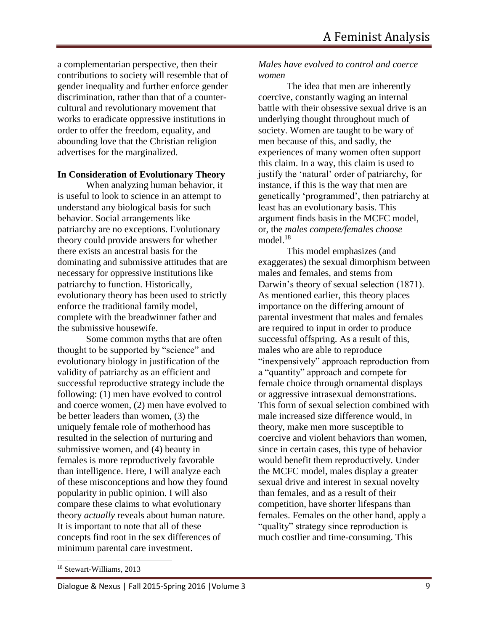a complementarian perspective, then their contributions to society will resemble that of gender inequality and further enforce gender discrimination, rather than that of a countercultural and revolutionary movement that works to eradicate oppressive institutions in order to offer the freedom, equality, and abounding love that the Christian religion advertises for the marginalized.

#### **In Consideration of Evolutionary Theory**

When analyzing human behavior, it is useful to look to science in an attempt to understand any biological basis for such behavior. Social arrangements like patriarchy are no exceptions. Evolutionary theory could provide answers for whether there exists an ancestral basis for the dominating and submissive attitudes that are necessary for oppressive institutions like patriarchy to function. Historically, evolutionary theory has been used to strictly enforce the traditional family model, complete with the breadwinner father and the submissive housewife.

Some common myths that are often thought to be supported by "science" and evolutionary biology in justification of the validity of patriarchy as an efficient and successful reproductive strategy include the following: (1) men have evolved to control and coerce women, (2) men have evolved to be better leaders than women, (3) the uniquely female role of motherhood has resulted in the selection of nurturing and submissive women, and (4) beauty in females is more reproductively favorable than intelligence. Here, I will analyze each of these misconceptions and how they found popularity in public opinion. I will also compare these claims to what evolutionary theory *actually* reveals about human nature. It is important to note that all of these concepts find root in the sex differences of minimum parental care investment.

The idea that men are inherently coercive, constantly waging an internal battle with their obsessive sexual drive is an underlying thought throughout much of society. Women are taught to be wary of men because of this, and sadly, the experiences of many women often support this claim. In a way, this claim is used to justify the 'natural' order of patriarchy, for instance, if this is the way that men are genetically 'programmed', then patriarchy at least has an evolutionary basis. This argument finds basis in the MCFC model, or, the *males compete/females choose* model $18$ 

This model emphasizes (and exaggerates) the sexual dimorphism between males and females, and stems from Darwin's theory of sexual selection (1871). As mentioned earlier, this theory places importance on the differing amount of parental investment that males and females are required to input in order to produce successful offspring. As a result of this, males who are able to reproduce "inexpensively" approach reproduction from a "quantity" approach and compete for female choice through ornamental displays or aggressive intrasexual demonstrations. This form of sexual selection combined with male increased size difference would, in theory, make men more susceptible to coercive and violent behaviors than women, since in certain cases, this type of behavior would benefit them reproductively. Under the MCFC model, males display a greater sexual drive and interest in sexual novelty than females, and as a result of their competition, have shorter lifespans than females. Females on the other hand, apply a "quality" strategy since reproduction is much costlier and time-consuming. This

*Males have evolved to control and coerce women* 

<sup>18</sup> Stewart-Williams, 2013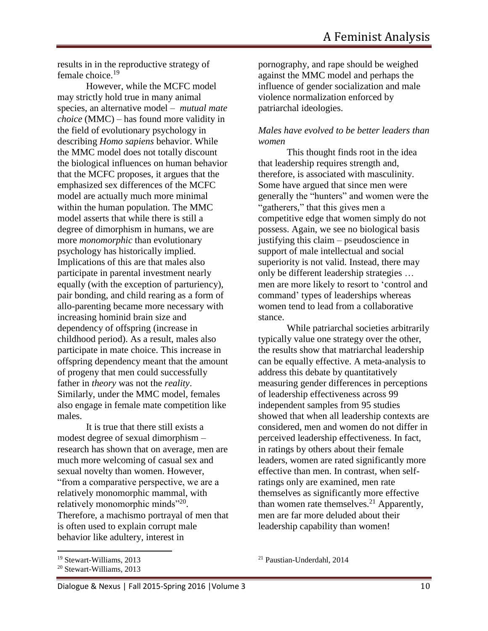results in in the reproductive strategy of female choice.<sup>19</sup>

However, while the MCFC model may strictly hold true in many animal species, an alternative model – *mutual mate choice* (MMC) – has found more validity in the field of evolutionary psychology in describing *Homo sapiens* behavior. While the MMC model does not totally discount the biological influences on human behavior that the MCFC proposes, it argues that the emphasized sex differences of the MCFC model are actually much more minimal within the human population. The MMC model asserts that while there is still a degree of dimorphism in humans, we are more *monomorphic* than evolutionary psychology has historically implied. Implications of this are that males also participate in parental investment nearly equally (with the exception of parturiency), pair bonding, and child rearing as a form of allo-parenting became more necessary with increasing hominid brain size and dependency of offspring (increase in childhood period). As a result, males also participate in mate choice. This increase in offspring dependency meant that the amount of progeny that men could successfully father in *theory* was not the *reality*. Similarly, under the MMC model, females also engage in female mate competition like males.

It is true that there still exists a modest degree of sexual dimorphism – research has shown that on average, men are much more welcoming of casual sex and sexual novelty than women. However, "from a comparative perspective, we are a relatively monomorphic mammal, with relatively monomorphic minds"<sup>20</sup>. Therefore, a machismo portrayal of men that is often used to explain corrupt male behavior like adultery, interest in

 $\overline{a}$ 

pornography, and rape should be weighed against the MMC model and perhaps the influence of gender socialization and male violence normalization enforced by patriarchal ideologies.

### *Males have evolved to be better leaders than women*

This thought finds root in the idea that leadership requires strength and, therefore, is associated with masculinity. Some have argued that since men were generally the "hunters" and women were the "gatherers," that this gives men a competitive edge that women simply do not possess. Again, we see no biological basis justifying this claim – pseudoscience in support of male intellectual and social superiority is not valid. Instead, there may only be different leadership strategies … men are more likely to resort to 'control and command' types of leaderships whereas women tend to lead from a collaborative stance.

While patriarchal societies arbitrarily typically value one strategy over the other, the results show that matriarchal leadership can be equally effective. A meta-analysis to address this debate by quantitatively measuring gender differences in perceptions of leadership effectiveness across 99 independent samples from 95 studies showed that when all leadership contexts are considered, men and women do not differ in perceived leadership effectiveness. In fact, in ratings by others about their female leaders, women are rated significantly more effective than men. In contrast, when selfratings only are examined, men rate themselves as significantly more effective than women rate themselves.<sup>21</sup> Apparently, men are far more deluded about their leadership capability than women!

<sup>19</sup> Stewart-Williams, 2013

<sup>20</sup> Stewart-Williams, 2013

<sup>21</sup> Paustian-Underdahl, 2014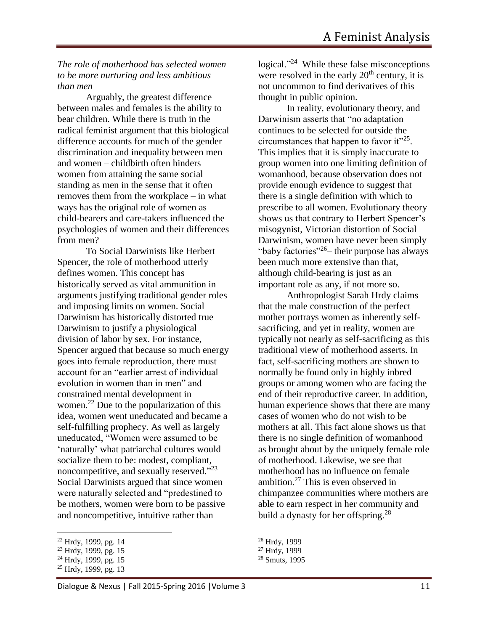*The role of motherhood has selected women to be more nurturing and less ambitious than men*

Arguably, the greatest difference between males and females is the ability to bear children. While there is truth in the radical feminist argument that this biological difference accounts for much of the gender discrimination and inequality between men and women – childbirth often hinders women from attaining the same social standing as men in the sense that it often removes them from the workplace – in what ways has the original role of women as child-bearers and care-takers influenced the psychologies of women and their differences from men?

To Social Darwinists like Herbert Spencer, the role of motherhood utterly defines women. This concept has historically served as vital ammunition in arguments justifying traditional gender roles and imposing limits on women. Social Darwinism has historically distorted true Darwinism to justify a physiological division of labor by sex. For instance, Spencer argued that because so much energy goes into female reproduction, there must account for an "earlier arrest of individual evolution in women than in men" and constrained mental development in women.<sup>22</sup> Due to the popularization of this idea, women went uneducated and became a self-fulfilling prophecy. As well as largely uneducated, "Women were assumed to be 'naturally' what patriarchal cultures would socialize them to be: modest, compliant, noncompetitive, and sexually reserved."<sup>23</sup> Social Darwinists argued that since women were naturally selected and "predestined to be mothers, women were born to be passive and noncompetitive, intuitive rather than

 $\overline{a}$ 

logical."<sup>24</sup> While these false misconceptions were resolved in the early  $20<sup>th</sup>$  century, it is not uncommon to find derivatives of this thought in public opinion.

In reality, evolutionary theory, and Darwinism asserts that "no adaptation continues to be selected for outside the circumstances that happen to favor it"<sup>25</sup>. This implies that it is simply inaccurate to group women into one limiting definition of womanhood, because observation does not provide enough evidence to suggest that there is a single definition with which to prescribe to all women. Evolutionary theory shows us that contrary to Herbert Spencer's misogynist, Victorian distortion of Social Darwinism, women have never been simply "baby factories"<sup>26</sup> – their purpose has always been much more extensive than that, although child-bearing is just as an important role as any, if not more so.

Anthropologist Sarah Hrdy claims that the male construction of the perfect mother portrays women as inherently selfsacrificing, and yet in reality, women are typically not nearly as self-sacrificing as this traditional view of motherhood asserts. In fact, self-sacrificing mothers are shown to normally be found only in highly inbred groups or among women who are facing the end of their reproductive career. In addition, human experience shows that there are many cases of women who do not wish to be mothers at all. This fact alone shows us that there is no single definition of womanhood as brought about by the uniquely female role of motherhood. Likewise, we see that motherhood has no influence on female ambition.<sup>27</sup> This is even observed in chimpanzee communities where mothers are able to earn respect in her community and build a dynasty for her offspring.<sup>28</sup>

<sup>&</sup>lt;sup>22</sup> Hrdy, 1999, pg. 14

<sup>23</sup> Hrdy, 1999, pg. 15

 $^{24}$  Hrdy, 1999, pg. 15

<sup>&</sup>lt;sup>25</sup> Hrdy, 1999, pg. 13

<sup>26</sup> Hrdy, 1999

<sup>&</sup>lt;sup>27</sup> Hrdy, 1999

<sup>28</sup> Smuts, 1995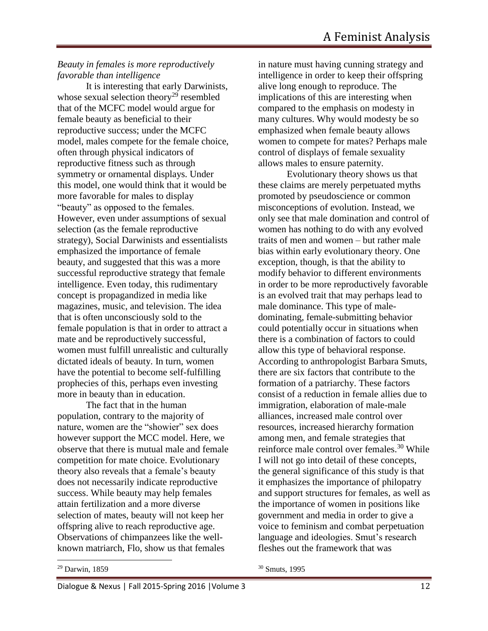### *Beauty in females is more reproductively favorable than intelligence*

It is interesting that early Darwinists, whose sexual selection theory<sup>29</sup> resembled that of the MCFC model would argue for female beauty as beneficial to their reproductive success; under the MCFC model, males compete for the female choice, often through physical indicators of reproductive fitness such as through symmetry or ornamental displays. Under this model, one would think that it would be more favorable for males to display "beauty" as opposed to the females. However, even under assumptions of sexual selection (as the female reproductive strategy), Social Darwinists and essentialists emphasized the importance of female beauty, and suggested that this was a more successful reproductive strategy that female intelligence. Even today, this rudimentary concept is propagandized in media like magazines, music, and television. The idea that is often unconsciously sold to the female population is that in order to attract a mate and be reproductively successful, women must fulfill unrealistic and culturally dictated ideals of beauty. In turn, women have the potential to become self-fulfilling prophecies of this, perhaps even investing more in beauty than in education.

The fact that in the human population, contrary to the majority of nature, women are the "showier" sex does however support the MCC model. Here, we observe that there is mutual male and female competition for mate choice. Evolutionary theory also reveals that a female's beauty does not necessarily indicate reproductive success. While beauty may help females attain fertilization and a more diverse selection of mates, beauty will not keep her offspring alive to reach reproductive age. Observations of chimpanzees like the wellknown matriarch, Flo, show us that females

in nature must having cunning strategy and intelligence in order to keep their offspring alive long enough to reproduce. The implications of this are interesting when compared to the emphasis on modesty in many cultures. Why would modesty be so emphasized when female beauty allows women to compete for mates? Perhaps male control of displays of female sexuality allows males to ensure paternity.

Evolutionary theory shows us that these claims are merely perpetuated myths promoted by pseudoscience or common misconceptions of evolution. Instead, we only see that male domination and control of women has nothing to do with any evolved traits of men and women – but rather male bias within early evolutionary theory. One exception, though, is that the ability to modify behavior to different environments in order to be more reproductively favorable is an evolved trait that may perhaps lead to male dominance. This type of maledominating, female-submitting behavior could potentially occur in situations when there is a combination of factors to could allow this type of behavioral response. According to anthropologist Barbara Smuts, there are six factors that contribute to the formation of a patriarchy. These factors consist of a reduction in female allies due to immigration, elaboration of male-male alliances, increased male control over resources, increased hierarchy formation among men, and female strategies that reinforce male control over females.<sup>30</sup> While I will not go into detail of these concepts, the general significance of this study is that it emphasizes the importance of philopatry and support structures for females, as well as the importance of women in positions like government and media in order to give a voice to feminism and combat perpetuation language and ideologies. Smut's research fleshes out the framework that was

<sup>30</sup> Smuts, 1995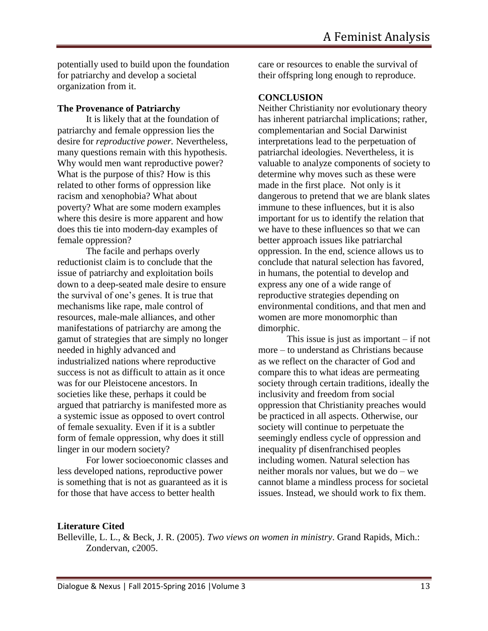potentially used to build upon the foundation for patriarchy and develop a societal organization from it.

### **The Provenance of Patriarchy**

It is likely that at the foundation of patriarchy and female oppression lies the desire for *reproductive power.* Nevertheless, many questions remain with this hypothesis. Why would men want reproductive power? What is the purpose of this? How is this related to other forms of oppression like racism and xenophobia? What about poverty? What are some modern examples where this desire is more apparent and how does this tie into modern-day examples of female oppression?

The facile and perhaps overly reductionist claim is to conclude that the issue of patriarchy and exploitation boils down to a deep-seated male desire to ensure the survival of one's genes. It is true that mechanisms like rape, male control of resources, male-male alliances, and other manifestations of patriarchy are among the gamut of strategies that are simply no longer needed in highly advanced and industrialized nations where reproductive success is not as difficult to attain as it once was for our Pleistocene ancestors. In societies like these, perhaps it could be argued that patriarchy is manifested more as a systemic issue as opposed to overt control of female sexuality. Even if it is a subtler form of female oppression, why does it still linger in our modern society?

For lower socioeconomic classes and less developed nations, reproductive power is something that is not as guaranteed as it is for those that have access to better health

care or resources to enable the survival of their offspring long enough to reproduce.

### **CONCLUSION**

Neither Christianity nor evolutionary theory has inherent patriarchal implications; rather, complementarian and Social Darwinist interpretations lead to the perpetuation of patriarchal ideologies. Nevertheless, it is valuable to analyze components of society to determine why moves such as these were made in the first place. Not only is it dangerous to pretend that we are blank slates immune to these influences, but it is also important for us to identify the relation that we have to these influences so that we can better approach issues like patriarchal oppression. In the end, science allows us to conclude that natural selection has favored, in humans, the potential to develop and express any one of a wide range of reproductive strategies depending on environmental conditions, and that men and women are more monomorphic than dimorphic.

This issue is just as important  $-$  if not more – to understand as Christians because as we reflect on the character of God and compare this to what ideas are permeating society through certain traditions, ideally the inclusivity and freedom from social oppression that Christianity preaches would be practiced in all aspects. Otherwise, our society will continue to perpetuate the seemingly endless cycle of oppression and inequality pf disenfranchised peoples including women. Natural selection has neither morals nor values, but we do – we cannot blame a mindless process for societal issues. Instead, we should work to fix them.

### **Literature Cited**

Belleville, L. L., & Beck, J. R. (2005). *Two views on women in ministry*. Grand Rapids, Mich.: Zondervan, c2005.